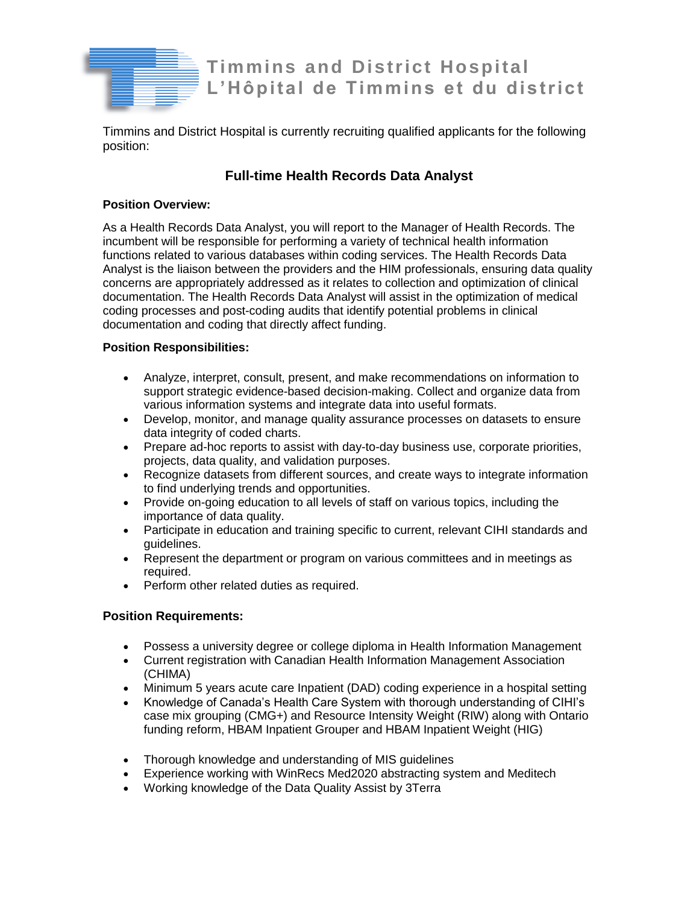

**Timmins and District Hospital L'Hôpital de Timmins et du district**

Timmins and District Hospital is currently recruiting qualified applicants for the following position:

# **Full-time Health Records Data Analyst**

## **Position Overview:**

As a Health Records Data Analyst, you will report to the Manager of Health Records. The incumbent will be responsible for performing a variety of technical health information functions related to various databases within coding services. The Health Records Data Analyst is the liaison between the providers and the HIM professionals, ensuring data quality concerns are appropriately addressed as it relates to collection and optimization of clinical documentation. The Health Records Data Analyst will assist in the optimization of medical coding processes and post-coding audits that identify potential problems in clinical documentation and coding that directly affect funding.

## **Position Responsibilities:**

- Analyze, interpret, consult, present, and make recommendations on information to support strategic evidence-based decision-making. Collect and organize data from various information systems and integrate data into useful formats.
- Develop, monitor, and manage quality assurance processes on datasets to ensure data integrity of coded charts.
- Prepare ad-hoc reports to assist with day-to-day business use, corporate priorities, projects, data quality, and validation purposes.
- Recognize datasets from different sources, and create ways to integrate information to find underlying trends and opportunities.
- Provide on-going education to all levels of staff on various topics, including the importance of data quality.
- Participate in education and training specific to current, relevant CIHI standards and guidelines.
- Represent the department or program on various committees and in meetings as required.
- Perform other related duties as required.

# **Position Requirements:**

- Possess a university degree or college diploma in Health Information Management
- Current registration with Canadian Health Information Management Association (CHIMA)
- Minimum 5 years acute care Inpatient (DAD) coding experience in a hospital setting
- Knowledge of Canada's Health Care System with thorough understanding of CIHI's case mix grouping (CMG+) and Resource Intensity Weight (RIW) along with Ontario funding reform, HBAM Inpatient Grouper and HBAM Inpatient Weight (HIG)
- Thorough knowledge and understanding of MIS guidelines
- Experience working with WinRecs Med2020 abstracting system and Meditech
- Working knowledge of the Data Quality Assist by 3Terra